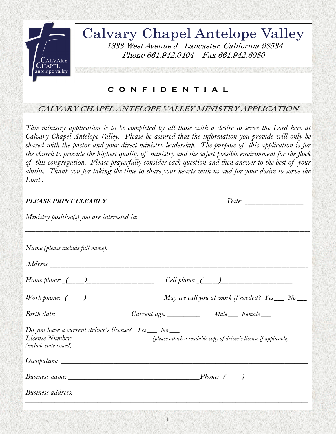

Calvary Chapel Antelope Valley 1833 West Avenue J Lancaster, California 93534 Phone 661.942.0404 Fax 661.942.6080

## **C O N F I D C O N F I D E N T I A L E N T I A L**

## **\_\_\_\_\_\_\_\_\_\_\_\_\_\_\_\_\_\_\_\_\_\_\_\_\_\_\_\_\_\_\_\_\_\_\_\_\_\_\_\_\_\_\_\_\_\_\_\_\_\_\_\_\_\_\_\_\_\_\_\_\_\_\_\_\_\_\_\_\_\_\_\_\_\_\_\_\_\_\_\_\_\_\_\_\_ CALVARY CHAPEL ANTELOPE VALLEY MINISTRY APPLICATION**

*This ministry application is to be completed by all those with a desire to serve the Lord here at Calvary Chapel Antelope Valley. Please be assured that the information you provide will only be shared with the pastor and your direct ministry leadership. The purpose of this application is for the church to provide the highest quality of ministry and the safest possible environment for the flock of this congregation. Please prayerfully consider each question and then answer to the best of your ability. Thank you for taking the time to share your hearts with us and for your desire to serve the Lord .* 

| <b>PLEASE PRINT CLEARLY</b>                            | Date:                                                                                                     |
|--------------------------------------------------------|-----------------------------------------------------------------------------------------------------------|
|                                                        | Ministry position(s) you are interested in:                                                               |
|                                                        |                                                                                                           |
|                                                        |                                                                                                           |
|                                                        |                                                                                                           |
|                                                        | $Cell$ phone: $($ $)$                                                                                     |
|                                                        | May we call you at work if needed? $\text{Yes} \_\_\_ \text{No} \_\_\_\_$                                 |
|                                                        |                                                                                                           |
| Do you have a current driver's license? $Yes \_ No \_$ |                                                                                                           |
|                                                        | License Number: ________________________(please attach a readable copy of driver's license if applicable) |
| (include state issued)                                 |                                                                                                           |
|                                                        |                                                                                                           |
|                                                        |                                                                                                           |
| Business address:                                      |                                                                                                           |
|                                                        |                                                                                                           |

1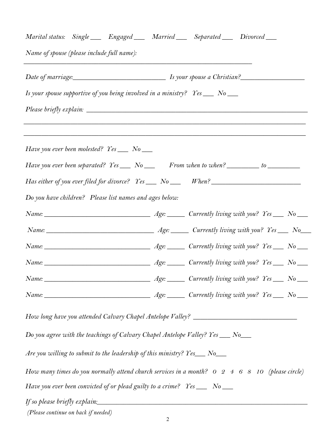| Marital status: Single ___ Engaged ___ Married ___ Separated ___ Divorced ___            |                                               |  |  |                                                                                                                                |  |
|------------------------------------------------------------------------------------------|-----------------------------------------------|--|--|--------------------------------------------------------------------------------------------------------------------------------|--|
| Name of spouse (please include full name):                                               |                                               |  |  |                                                                                                                                |  |
|                                                                                          | Date of marriage: 1s your spouse a Christian? |  |  |                                                                                                                                |  |
| Is your spouse supportive of you being involved in a ministry? Yes __ No __              |                                               |  |  |                                                                                                                                |  |
|                                                                                          |                                               |  |  |                                                                                                                                |  |
| Have you ever been molested? Yes ___ No ___                                              |                                               |  |  |                                                                                                                                |  |
| Have you ever been separated? Yes ___ No ___ From when to when? _______ to _________     |                                               |  |  |                                                                                                                                |  |
| Has either of you ever filed for divorce? Yes __ No __ When? ____________________        |                                               |  |  |                                                                                                                                |  |
| Do you have children? Please list names and ages below:                                  |                                               |  |  |                                                                                                                                |  |
|                                                                                          |                                               |  |  |                                                                                                                                |  |
|                                                                                          |                                               |  |  |                                                                                                                                |  |
|                                                                                          |                                               |  |  |                                                                                                                                |  |
|                                                                                          |                                               |  |  |                                                                                                                                |  |
|                                                                                          |                                               |  |  |                                                                                                                                |  |
|                                                                                          |                                               |  |  |                                                                                                                                |  |
| How long have you attended Calvary Chapel Antelope Valley? ______________________        |                                               |  |  |                                                                                                                                |  |
| Do you agree with the teachings of Calvary Chapel Antelope Valley? $Yes \_\_\_No \_\_\_$ |                                               |  |  |                                                                                                                                |  |
| Are you willing to submit to the leadership of this ministry? $Yes_$ No_                 |                                               |  |  |                                                                                                                                |  |
|                                                                                          |                                               |  |  | How many times do you normally attend church services in a month? $0 \quad 2 \quad 4 \quad 6 \quad 8 \quad 10$ (please circle) |  |
| Have you ever been convicted of or plead guilty to a crime? $Yes \_\_$ No $\_\_$         |                                               |  |  |                                                                                                                                |  |
| If so please briefly explain:                                                            |                                               |  |  |                                                                                                                                |  |

*(Please continue on back if needed)*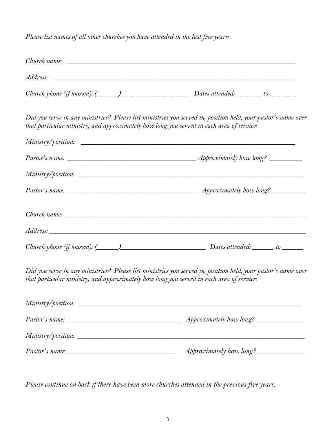*Please list names of all other churches you have attended in the last five years:* 

|                                                                                          | Church phone (if known): $(\_\_\_\_\_\_\_\$                                                                                                                                                                                                                                                                                     |  |  |  |
|------------------------------------------------------------------------------------------|---------------------------------------------------------------------------------------------------------------------------------------------------------------------------------------------------------------------------------------------------------------------------------------------------------------------------------|--|--|--|
| that particular ministry, and approximately how long you served in each area of service: | Did you serve in any ministries? Please list ministries you served in, position held, your pastor's name over                                                                                                                                                                                                                   |  |  |  |
|                                                                                          |                                                                                                                                                                                                                                                                                                                                 |  |  |  |
|                                                                                          |                                                                                                                                                                                                                                                                                                                                 |  |  |  |
|                                                                                          |                                                                                                                                                                                                                                                                                                                                 |  |  |  |
|                                                                                          |                                                                                                                                                                                                                                                                                                                                 |  |  |  |
|                                                                                          |                                                                                                                                                                                                                                                                                                                                 |  |  |  |
|                                                                                          |                                                                                                                                                                                                                                                                                                                                 |  |  |  |
|                                                                                          | Church phone (if known): $\qquad \qquad$ $\qquad$ $\qquad$ $\qquad$ $\qquad$ $\qquad$ $\qquad$ $\qquad$ $\qquad$ $\qquad$ $\qquad$ $\qquad$ $\qquad$ $\qquad$ $\qquad$ $\qquad$ $\qquad$ $\qquad$ $\qquad$ $\qquad$ $\qquad$ $\qquad$ $\qquad$ $\qquad$ $\qquad$ $\qquad$ $\qquad$ $\qquad$ $\qquad$ $\qquad$ $\qquad$ $\qquad$ |  |  |  |
|                                                                                          |                                                                                                                                                                                                                                                                                                                                 |  |  |  |

| Ministry/position:    |                                |
|-----------------------|--------------------------------|
| <i>Pastor's name:</i> |                                |
|                       |                                |
| <i>Pastor's name:</i> | <i>Approximately how long?</i> |

*Please continue on back if there have been more churches attended in the previous five years.*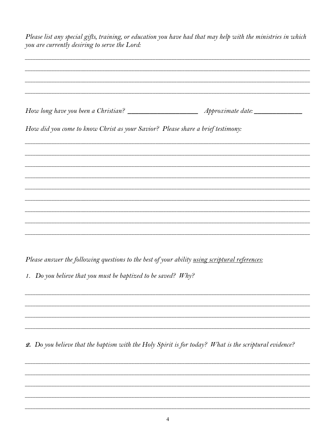| you are currently desiring to serve the Lord:                                   | Please list any special gifts, training, or education you have had that may help with the ministries in which         |  |  |  |
|---------------------------------------------------------------------------------|-----------------------------------------------------------------------------------------------------------------------|--|--|--|
|                                                                                 |                                                                                                                       |  |  |  |
| How did you come to know Christ as your Savior? Please share a brief testimony: |                                                                                                                       |  |  |  |
|                                                                                 |                                                                                                                       |  |  |  |
|                                                                                 | <u> 1989 - Johann Stoff, deutscher Stoff, der Stoff, der Stoff, der Stoff, der Stoff, der Stoff, der Stoff, der S</u> |  |  |  |
|                                                                                 |                                                                                                                       |  |  |  |
|                                                                                 |                                                                                                                       |  |  |  |
|                                                                                 |                                                                                                                       |  |  |  |
|                                                                                 |                                                                                                                       |  |  |  |

Please answer the following questions to the best of your ability using scriptural references:

1. Do you believe that you must be baptized to be saved? Why?

2. Do you believe that the baptism with the Holy Spirit is for today? What is the scriptural evidence?